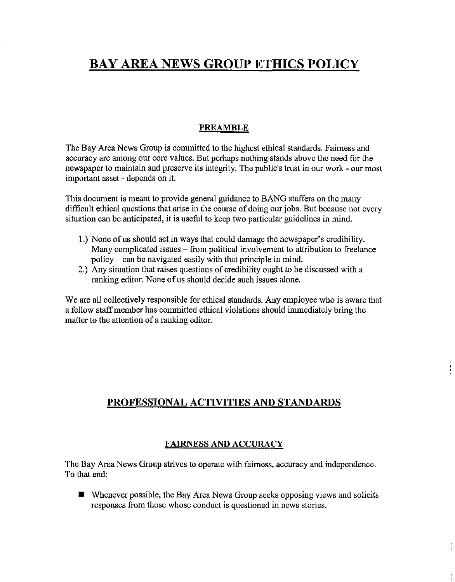# **BAY AREA NEWS GROUP ETHICS POLICY**

## **PREAMBLE**

The Bay Area News Group is committed to the highest ethical standards. Fairness and accuracy are among our core values. But perhaps nothing stands above the need for the newspaper to maintain and preserve its integrity. The public's trust in our work - our most important asset - depends on it.

This document is meant to provide general guidance to BANG staffers on the many difficult ethical questions that arise in the course of doing our jobs. But because not every situation can be anticipated, it is useful to keep two particular guidelines in mind.

- 1.) None of us should act in ways that could damage the newspaper's credibility. Many complicated issues – from political involvement to attribution to freelance policy - can be navigated easily with that principle in mind.
- 2.) Any situation that raises questions of credibility ought to be discussed with a ranking editor. None of us should decide such issues alone.

We are all collectively responsible for ethical standards. Any employee who is aware that a fellow staff member has committed ethical violations should immediately bring the matter to the attention of a ranking editor.

# **PROFESSIONAL ACTIVITIES AND STANDARDS**

## **FAIRNESS AND ACCURACY**

The Bay Area News Group strives to operate with fairness, accuracy and independence. To that end:

• Whenever possible, the Bay Area News Group seeks opposing views and solicits responses from those whose conduct is questioned in news stories.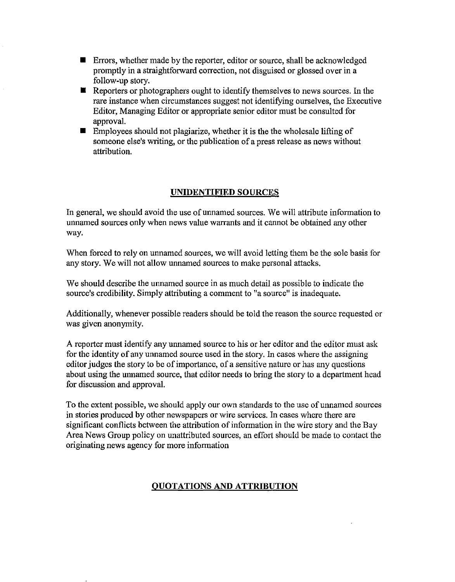- **Errors, whether made by the reporter, editor or source, shall be acknowledged** promptly in a straightforward correction, not disguised or glossed over in a follow-up story.
- $\blacksquare$  Reporters or photographers ought to identify themselves to news sources. In the rare instance when circumstances suggest not identifying ourselves, the Executive Editor, Managing Editor or appropriate senior editor must be consulted for approval.
- $\blacksquare$  Employees should not plagiarize, whether it is the the wholesale lifting of someone else's writing, or the publication of a press release as news without attribution.

## **UNIDENTIFIED SOURCES**

In general, we should avoid the use of unnamed sources. We will attribute information to unnamed sources only when news value warrants and it cannot be obtained any other way.

When forced to rely on unnamed sources, we will avoid letting them be the sole basis for any story. We will not allow unnamed sources to make personal attacks.

We should describe the unnamed source in as much detail as possible to indicate the source's credibility. Simply attributing a comment to "a source" is inadequate.

Additionally, whenever possible readers should be told the reason the source requested or was given anonymity.

A reporter must identify any unnamed source to his or her editor and the editor must ask for the identity of any unnamed source used in the story. In cases where the assigning editor judges the story to be of importance, of a sensitive nature or has any questions about using the unnamed source, that editor needs to bring the story to a department head for discussion and approval.

To the extent possible, we should apply our own standards to the use of unnamed sources in stories produced by other newspapers or wire services. In cases where there are significant conflicts between the attribution of information in the wire story and the Bay Area News Group policy on unattributed sources, an effort should be made to contact the originating news agency for more information

# **QUOTATIONS AND ATTRIBUTION**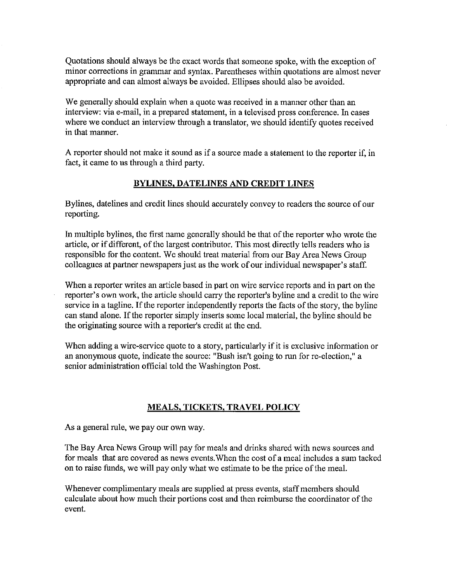Quotations should always be the exact words that someone spoke, with the exception of minor corrections in grammar and syntax. Parentheses within quotations are almost never appropriate and can almost always be avoided. Ellipses should also be avoided.

We generally should explain when a quote was received in a manner other than an interview: via e-mail, in a prepared statement, in a televised press conference. In cases where we conduct an interview through a translator, we should identify quotes received in that manner.

A reporter should not make it sound as if a source made a statement to the reporter if, in fact, it came to us through a third party.

## **BYLINES, DATELINES AND CREDIT LINES**

Bylines, datelines and credit lines should accurately convey to readers the source of our reporting.

In multiple bylines, the first name generally should be that of the reporter who wrote the article, or if different, of the largest contributor. This most directly tells readers who is responsible for the content. We should treat material from our Bay Area News Group colleagues at partner newspapers just as the work of our individual newspaper's staff.

When a reporter writes an article based in part on wire service reports and in part on the reporter's own work, the article should carry the reporter's byline and a credit to the wire service in a tagline. If the reporter independently reports the facts of the story, the byline can stand alone. If the reporter simply inserts some local material, the byline should be the originating source with a reporter's credit at the end.

When adding a wire-service quote to a story, particularly if it is exclusive information or an anonymous quote, indicate the source: "Bush isn't going to run for re-election," a senior administration official told the Washington Post.

## **MEALS, TICKETS, TRAVEL POLICY**

As a general rule, we pay our own way.

The Bay Area News Group will pay for meals and drinks shared with news sources and for meals that are covered as news events. When the cost of a meal includes a sum tacked on to raise funds, we will pay only what we estimate to be the price of the meal.

Whenever complimentary meals are supplied at press events, staff members should calculate about how much their portions cost and then reimburse the coordinator of the event.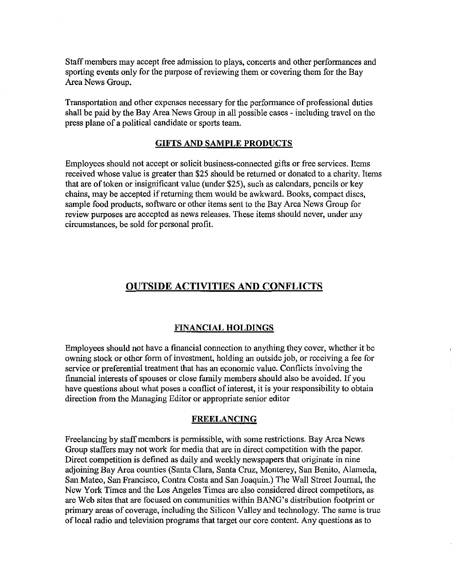Staff members may accept free admission to plays, concerts and other performances and sporting events only for the purpose of reviewing them or covering them for the Bay Area News Group.

Transportation and other expenses necessary for the performance of professional duties shall be paid by the Bay Area News Group in all possible cases - including travel on the press plane of a political candidate or sports team.

#### **GIFTS AND SAMPLE PRODUCTS**

Employees should not accept or solicit business-connected gifts or free services. Items received whose value is greater than \$25 should be returned or donated to a charity. Items that are of token or insignificant value (under \$25), such as calendars, pencils or key chains, may be accepted if returning them would be awkward. Books, compact discs, sample food products, software or other items sent to the Bay Area News Group for review purposes are accepted as news releases. These items should never, under any circumstances, be sold for personal profit.

# **OUTSIDE ACTIVITIES AND CONFLICTS**

#### **FINANCIAL HOLDINGS**

 $\ddot{i}$ 

Employees should not have a financial connection to anything they cover, whether it be owning stock or other form of investment, holding an outside job, or receiving a fee for service or preferential treatment that has an economic value. Conflicts involving the financial interests of spouses or close family members should also be avoided. If you have questions about what poses a conflict of interest, it is your responsibility to obtain direction from the Managing Editor or appropriate senior editor

#### **FREELANCING**

Freelancing by staff members is permissible, with some restrictions. Bay Area News Group staffers may not work for media that are in direct competition with the paper. Direct competition is defined as daily and weekly newspapers that originate in nine adjoining Bay Area counties (Santa Clara, Santa Cruz, Monterey, San Benito, Alameda, San Mateo, San Francisco, Contra Costa and San Joaquin.) The Wall Street Journal, the New York Times and the Los Angeles Times are also considered direct competitors, as are Web sites that are focused on communities within BANG's distribution footprint or primary areas of coverage, including the Silicon Valley and technology. The same is true of local radio and television programs that target our core content. Any questions as to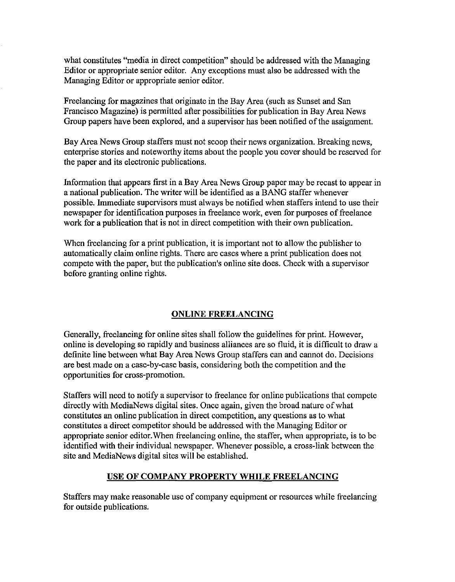what constitutes "media in direct competition" should be addressed with the Managing Editor or appropriate senior editor. Any exceptions must also be addressed with the Managing Editor or appropriate senior editor.

Freelancing for magazines that originate in the Bay Area (such as Sunset and San Francisco Magazine) is permitted after possibilities for publication in Bay Area News Group papers have been explored, and a supervisor has been notified of the assignment.

Bay Area News Group staffers must not scoop their news organization. Breaking news, enterprise stories and noteworthy items about the people you cover should be reserved for the paper and its electronic publications.

Information that appears first in a Bay Area News Group paper may be recast to appear in a national publication. The writer will be identified as a BANG staffer whenever possible. hnmediate supervisors must always be notified when staffers intend to use their newspaper for identification purposes in freelance work, even for purposes of freelance work for a publication that is not in direct competition with their own publication.

When freelancing for a print publication, it is important not to allow the publisher to automatically claim online rights. There are cases where a print publication does not compete with the paper, but the publication's online site does. Check with a supervisor before granting online rights.

## ONLINE FREELANCING

Generally, freelancing for online sites shall follow the guidelines for print. However, online is developing so rapidly and business alliances are so fluid, it is difficult to draw a definite line between what Bay Area News Group staffers can and cannot do. Decisions are best made on a case-by-case basis, considering both the competition and the opportunities for cross-promotion.

Staffers will need to notify a supervisor to freelance for online publications that compete directly with MediaNews digital sites. Once again, given the broad nature of what constitutes an online publication in direct competition, any questions as to what constitutes a direct competitor should be addressed with the Managing Editor or appropriate senior editor. When freelancing online, the staffer, when appropriate, is to be identified with their individual newspaper. Whenever possible, a cross-link between the site and MediaNews digital sites will be established.

## USE OF COMPANY PROPERTY WHILE FREELANCING

Staffers may make reasonable use of company equipment or resources while freelancing for outside publications.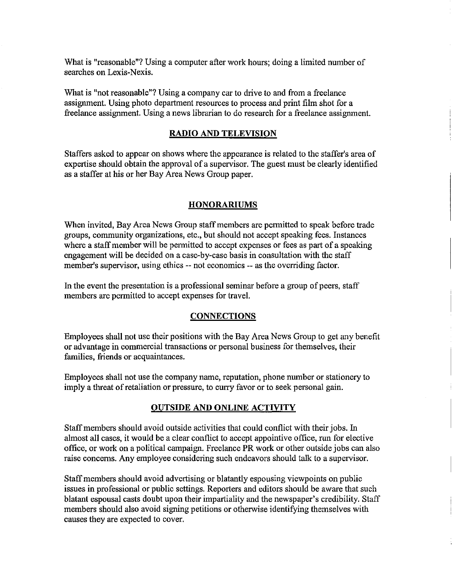What is "reasonable"? Using a computer after work hours; doing a limited number of searches on Lexis-Nexis.

What is "not reasonable"? Using a company car to drive to and from a freelance assigmnent. Using photo department resources to process and print film shot for a freelance assigmnent. Using a news librarian to do research for a freelance assigmnent.

### **RADIO AND TELEVISION**

Staffers asked to appear on shows where the appearance is related to the staffer's area of expertise should obtain the approval of a supervisor. The guest must be clearly identified as a staffer at his or her Bay Area News Group paper.

#### **HONORARIUMS**

When invited, Bay Area News Group staff members are permitted to speak before trade groups, community organizations, etc., but should not accept speaking fees. Instances where a staff member will be permitted to accept expenses or fees as part of a speaking engagement will be decided on a case-by-case basis in consultation with the staff member's supervisor, using ethics -- not economics -- as the overriding factor.

In the event the presentation is a professional seminar before a group of peers, staff members are permitted to accept expenses for travel.

#### **CONNECTIONS**

Employees shall not use their positions with the Bay Area News Group to get any benefit or advantage in commercial transactions or personal business for themselves, their families, friends or acquaintances.

Employees shall not use the company name, reputation, phone number or stationery to imply a threat of retaliation or pressure, to curry favor or to seek personal gain.

#### **OUTSIDE AND ONLINE ACTIVITY**

Staff members should avoid outside activities that could conflict with their jobs. In almost **all** cases, it would be a clear conflict to accept appointive office, run for elective office, or work on a political campaign. Freelance PR work or other outside jobs can also raise concerns. Any employee considering such endeavors should talk to a supervisor.

Staff members should avoid advertising or blatantly espousing viewpoints on public issues **in** professional or public settings. Reporters and editors should be aware that such blatant espousal casts doubt upon their impartiality and the newspaper's credibility. Staff members should also avoid signing petitions or otherwise identifying themselves with causes they are expected to cover.